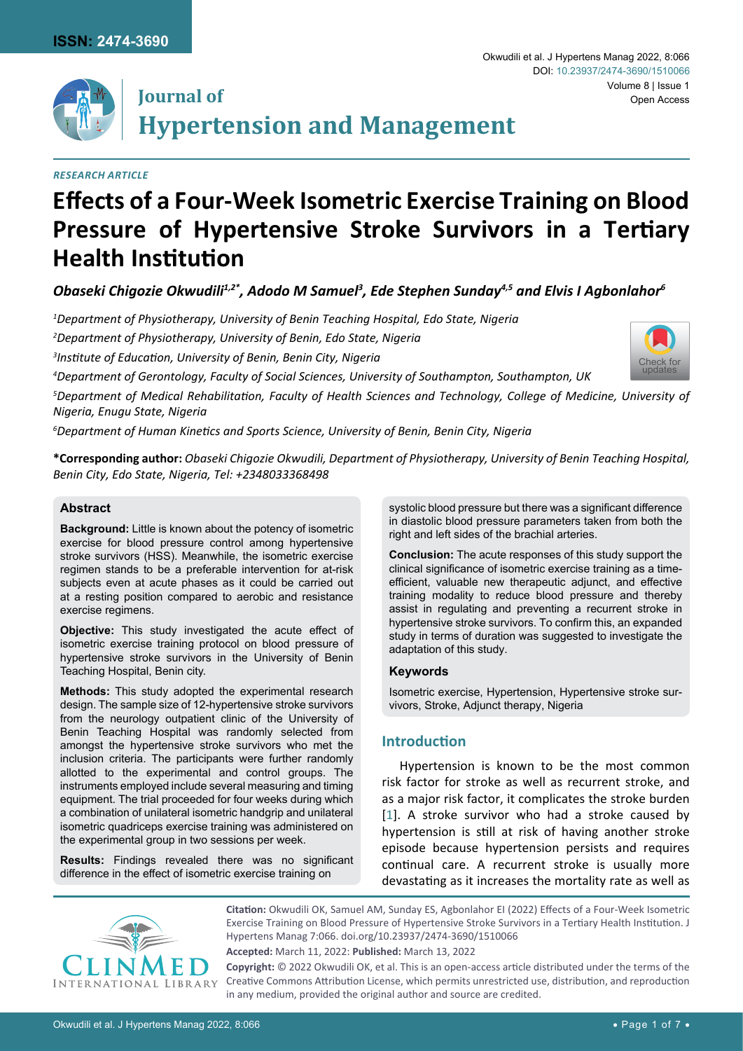

[Check for](http://crossmark.crossref.org/dialog/?doi=10.23937/2474-3690/1510066&domain=pdf) updates



# **Journal of Hypertension and Management**

# *Research Article*

# **Effects of a Four-Week Isometric Exercise Training on Blood Pressure of Hypertensive Stroke Survivors in a Tertiary Health Institution**

Obaseki Chigozie Okwudili<sup>1,2\*</sup>, Adodo M Samuel<sup>3</sup>, Ede Stephen Sunday<sup>4,5</sup> and Elvis I Agbonlahor<sup>6</sup>

*1 Department of Physiotherapy, University of Benin Teaching Hospital, Edo State, Nigeria*

*2 Department of Physiotherapy, University of Benin, Edo State, Nigeria*

*3 Institute of Education, University of Benin, Benin City, Nigeria*

*4 Department of Gerontology, Faculty of Social Sciences, University of Southampton, Southampton, UK*

*5 Department of Medical Rehabilitation, Faculty of Health Sciences and Technology, College of Medicine, University of Nigeria, Enugu State, Nigeria*

*6 Department of Human Kinetics and Sports Science, University of Benin, Benin City, Nigeria*

**\*Corresponding author:** *Obaseki Chigozie Okwudili, Department of Physiotherapy, University of Benin Teaching Hospital, Benin City, Edo State, Nigeria, Tel: +2348033368498*

# **Abstract**

**Background:** Little is known about the potency of isometric exercise for blood pressure control among hypertensive stroke survivors (HSS). Meanwhile, the isometric exercise regimen stands to be a preferable intervention for at-risk subjects even at acute phases as it could be carried out at a resting position compared to aerobic and resistance exercise regimens.

**Objective:** This study investigated the acute effect of isometric exercise training protocol on blood pressure of hypertensive stroke survivors in the University of Benin Teaching Hospital, Benin city.

**Methods:** This study adopted the experimental research design. The sample size of 12-hypertensive stroke survivors from the neurology outpatient clinic of the University of Benin Teaching Hospital was randomly selected from amongst the hypertensive stroke survivors who met the inclusion criteria. The participants were further randomly allotted to the experimental and control groups. The instruments employed include several measuring and timing equipment. The trial proceeded for four weeks during which a combination of unilateral isometric handgrip and unilateral isometric quadriceps exercise training was administered on the experimental group in two sessions per week.

**Results:** Findings revealed there was no significant difference in the effect of isometric exercise training on

systolic blood pressure but there was a significant difference in diastolic blood pressure parameters taken from both the right and left sides of the brachial arteries.

**Conclusion:** The acute responses of this study support the clinical significance of isometric exercise training as a timeefficient, valuable new therapeutic adjunct, and effective training modality to reduce blood pressure and thereby assist in regulating and preventing a recurrent stroke in hypertensive stroke survivors. To confirm this, an expanded study in terms of duration was suggested to investigate the adaptation of this study.

## **Keywords**

Isometric exercise, Hypertension, Hypertensive stroke survivors, Stroke, Adjunct therapy, Nigeria

# **Introduction**

Hypertension is known to be the most common risk factor for stroke as well as recurrent stroke, and as a major risk factor, it complicates the stroke burden [[1](#page-5-0)]. A stroke survivor who had a stroke caused by hypertension is still at risk of having another stroke episode because hypertension persists and requires continual care. A recurrent stroke is usually more devastating as it increases the mortality rate as well as



**Citation:** Okwudili OK, Samuel AM, Sunday ES, Agbonlahor EI (2022) Effects of a Four-Week Isometric Exercise Training on Blood Pressure of Hypertensive Stroke Survivors in a Tertiary Health Institution. J Hypertens Manag 7:066. [doi.org/10.23937/2474-3690/1510066](https://doi.org/10.23937/2474-3690/1510066)

**Accepted:** March 11, 2022: **Published:** March 13, 2022

**Copyright:** © 2022 Okwudili OK, et al. This is an open-access article distributed under the terms of the Creative Commons Attribution License, which permits unrestricted use, distribution, and reproduction in any medium, provided the original author and source are credited.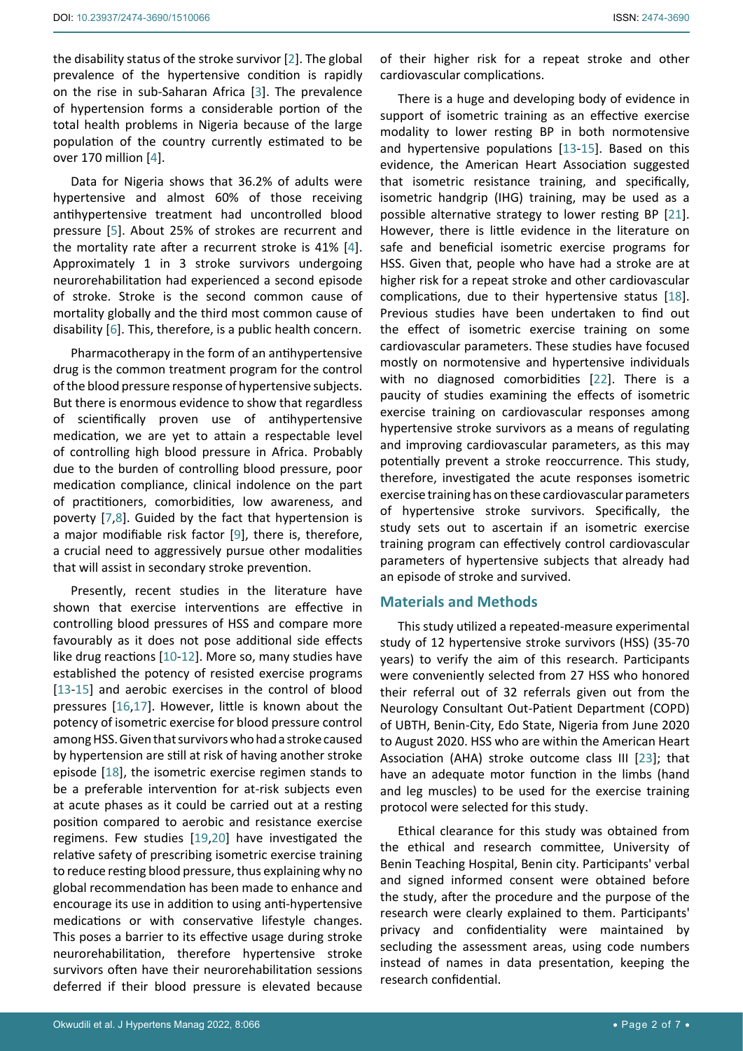over 170 million [[4](#page-5-3)].

Data for Nigeria shows that 36.2% of adults were hypertensive and almost 60% of those receiving antihypertensive treatment had uncontrolled blood pressure [[5](#page-5-4)]. About 25% of strokes are recurrent and the mortality rate after a recurrent stroke is 41% [[4](#page-5-3)]. Approximately 1 in 3 stroke survivors undergoing neurorehabilitation had experienced a second episode of stroke. Stroke is the second common cause of mortality globally and the third most common cause of disability [\[6\]](#page-5-5). This, therefore, is a public health concern.

population of the country currently estimated to be

Pharmacotherapy in the form of an antihypertensive drug is the common treatment program for the control of the blood pressure response of hypertensive subjects. But there is enormous evidence to show that regardless of scientifically proven use of antihypertensive medication, we are yet to attain a respectable level of controlling high blood pressure in Africa. Probably due to the burden of controlling blood pressure, poor medication compliance, clinical indolence on the part of practitioners, comorbidities, low awareness, and poverty [\[7](#page-5-6),[8](#page-5-7)]. Guided by the fact that hypertension is a major modifiable risk factor [[9](#page-5-8)], there is, therefore, a crucial need to aggressively pursue other modalities that will assist in secondary stroke prevention.

Presently, recent studies in the literature have shown that exercise interventions are effective in controlling blood pressures of HSS and compare more favourably as it does not pose additional side effects like drug reactions [[10](#page-5-9)[-12](#page-5-10)]. More so, many studies have established the potency of resisted exercise programs [[13](#page-5-11)[-15\]](#page-5-12) and aerobic exercises in the control of blood pressures [\[16](#page-5-13),[17](#page-6-0)]. However, little is known about the potency of isometric exercise for blood pressure control among HSS. Given that survivors who had a stroke caused by hypertension are still at risk of having another stroke episode [\[18\]](#page-6-1), the isometric exercise regimen stands to be a preferable intervention for at-risk subjects even at acute phases as it could be carried out at a resting position compared to aerobic and resistance exercise regimens. Few studies [[19](#page-6-2),[20](#page-6-3)] have investigated the relative safety of prescribing isometric exercise training to reduce resting blood pressure, thus explaining why no global recommendation has been made to enhance and encourage its use in addition to using anti-hypertensive medications or with conservative lifestyle changes. This poses a barrier to its effective usage during stroke neurorehabilitation, therefore hypertensive stroke survivors often have their neurorehabilitation sessions deferred if their blood pressure is elevated because

of their higher risk for a repeat stroke and other cardiovascular complications.

There is a huge and developing body of evidence in support of isometric training as an effective exercise modality to lower resting BP in both normotensive and hypertensive populations [\[13](#page-5-11)-[15\]](#page-5-12). Based on this evidence, the American Heart Association suggested that isometric resistance training, and specifically, isometric handgrip (IHG) training, may be used as a possible alternative strategy to lower resting BP [\[21\]](#page-6-4). However, there is little evidence in the literature on safe and beneficial isometric exercise programs for HSS. Given that, people who have had a stroke are at higher risk for a repeat stroke and other cardiovascular complications, due to their hypertensive status [\[18\]](#page-6-1). Previous studies have been undertaken to find out the effect of isometric exercise training on some cardiovascular parameters. These studies have focused mostly on normotensive and hypertensive individuals with no diagnosed comorbidities [[22](#page-6-5)]. There is a paucity of studies examining the effects of isometric exercise training on cardiovascular responses among hypertensive stroke survivors as a means of regulating and improving cardiovascular parameters, as this may potentially prevent a stroke reoccurrence. This study, therefore, investigated the acute responses isometric exercise training has on these cardiovascular parameters of hypertensive stroke survivors. Specifically, the study sets out to ascertain if an isometric exercise training program can effectively control cardiovascular parameters of hypertensive subjects that already had an episode of stroke and survived.

# **Materials and Methods**

This study utilized a repeated-measure experimental study of 12 hypertensive stroke survivors (HSS) (35-70 years) to verify the aim of this research. Participants were conveniently selected from 27 HSS who honored their referral out of 32 referrals given out from the Neurology Consultant Out-Patient Department (COPD) of UBTH, Benin-City, Edo State, Nigeria from June 2020 to August 2020. HSS who are within the American Heart Association (AHA) stroke outcome class III [\[23](#page-6-6)]; that have an adequate motor function in the limbs (hand and leg muscles) to be used for the exercise training protocol were selected for this study.

Ethical clearance for this study was obtained from the ethical and research committee, University of Benin Teaching Hospital, Benin city. Participants' verbal and signed informed consent were obtained before the study, after the procedure and the purpose of the research were clearly explained to them. Participants' privacy and confidentiality were maintained by secluding the assessment areas, using code numbers instead of names in data presentation, keeping the research confidential.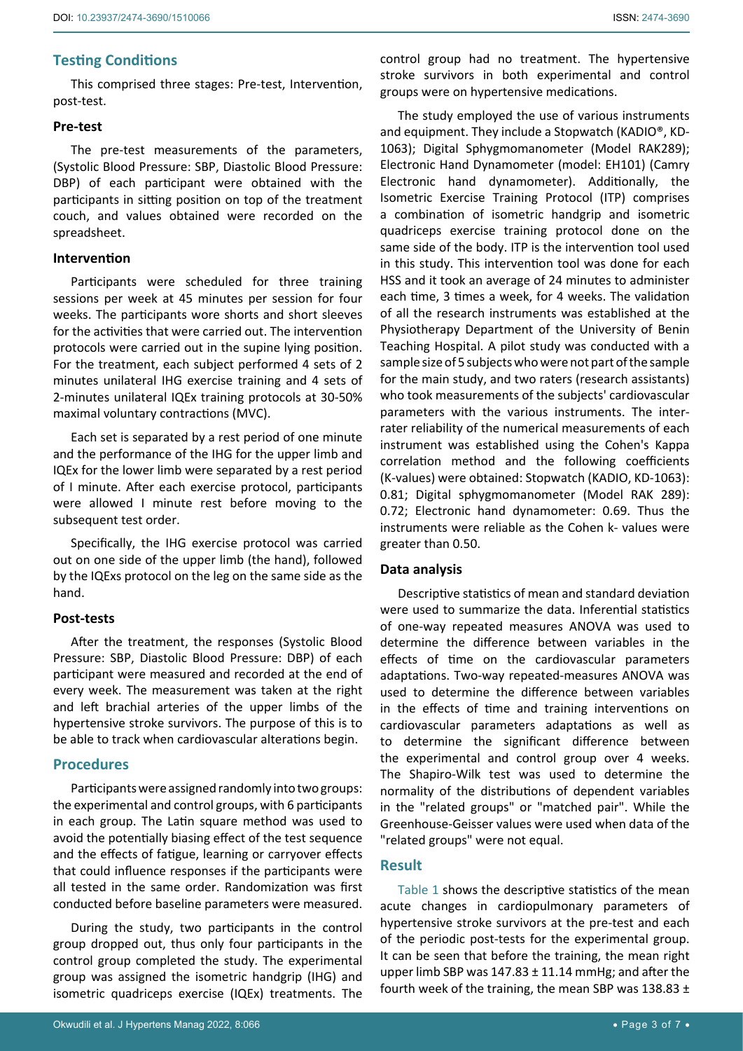# **Testing Conditions**

This comprised three stages: Pre-test, Intervention, post-test.

# **Pre-test**

The pre-test measurements of the parameters, (Systolic Blood Pressure: SBP, Diastolic Blood Pressure: DBP) of each participant were obtained with the participants in sitting position on top of the treatment couch, and values obtained were recorded on the spreadsheet.

#### **Intervention**

Participants were scheduled for three training sessions per week at 45 minutes per session for four weeks. The participants wore shorts and short sleeves for the activities that were carried out. The intervention protocols were carried out in the supine lying position. For the treatment, each subject performed 4 sets of 2 minutes unilateral IHG exercise training and 4 sets of 2-minutes unilateral IQEx training protocols at 30-50% maximal voluntary contractions (MVC).

Each set is separated by a rest period of one minute and the performance of the IHG for the upper limb and IQEx for the lower limb were separated by a rest period of I minute. After each exercise protocol, participants were allowed I minute rest before moving to the subsequent test order.

Specifically, the IHG exercise protocol was carried out on one side of the upper limb (the hand), followed by the IQExs protocol on the leg on the same side as the hand.

#### **Post-tests**

After the treatment, the responses (Systolic Blood Pressure: SBP, Diastolic Blood Pressure: DBP) of each participant were measured and recorded at the end of every week. The measurement was taken at the right and left brachial arteries of the upper limbs of the hypertensive stroke survivors. The purpose of this is to be able to track when cardiovascular alterations begin.

# **Procedures**

Participants were assigned randomly into two groups: the experimental and control groups, with 6 participants in each group. The Latin square method was used to avoid the potentially biasing effect of the test sequence and the effects of fatigue, learning or carryover effects that could influence responses if the participants were all tested in the same order. Randomization was first conducted before baseline parameters were measured.

During the study, two participants in the control group dropped out, thus only four participants in the control group completed the study. The experimental group was assigned the isometric handgrip (IHG) and isometric quadriceps exercise (IQEx) treatments. The control group had no treatment. The hypertensive stroke survivors in both experimental and control groups were on hypertensive medications.

The study employed the use of various instruments and equipment. They include a Stopwatch (KADIO®, KD-1063); Digital Sphygmomanometer (Model RAK289); Electronic Hand Dynamometer (model: EH101) (Camry Electronic hand dynamometer). Additionally, the Isometric Exercise Training Protocol (ITP) comprises a combination of isometric handgrip and isometric quadriceps exercise training protocol done on the same side of the body. ITP is the intervention tool used in this study. This intervention tool was done for each HSS and it took an average of 24 minutes to administer each time, 3 times a week, for 4 weeks. The validation of all the research instruments was established at the Physiotherapy Department of the University of Benin Teaching Hospital. A pilot study was conducted with a sample size of 5 subjects who were not part of the sample for the main study, and two raters (research assistants) who took measurements of the subjects' cardiovascular parameters with the various instruments. The interrater reliability of the numerical measurements of each instrument was established using the Cohen's Kappa correlation method and the following coefficients (K-values) were obtained: Stopwatch (KADIO, KD-1063): 0.81; Digital sphygmomanometer (Model RAK 289): 0.72; Electronic hand dynamometer: 0.69. Thus the instruments were reliable as the Cohen k- values were greater than 0.50.

#### **Data analysis**

Descriptive statistics of mean and standard deviation were used to summarize the data. Inferential statistics of one-way repeated measures ANOVA was used to determine the difference between variables in the effects of time on the cardiovascular parameters adaptations. Two-way repeated-measures ANOVA was used to determine the difference between variables in the effects of time and training interventions on cardiovascular parameters adaptations as well as to determine the significant difference between the experimental and control group over 4 weeks. The Shapiro-Wilk test was used to determine the normality of the distributions of dependent variables in the "related groups" or "matched pair". While the Greenhouse-Geisser values were used when data of the "related groups" were not equal.

# **Result**

[Table 1](#page-3-0) shows the descriptive statistics of the mean acute changes in cardiopulmonary parameters of hypertensive stroke survivors at the pre-test and each of the periodic post-tests for the experimental group. It can be seen that before the training, the mean right upper limb SBP was  $147.83 \pm 11.14$  mmHg; and after the fourth week of the training, the mean SBP was 138.83 ±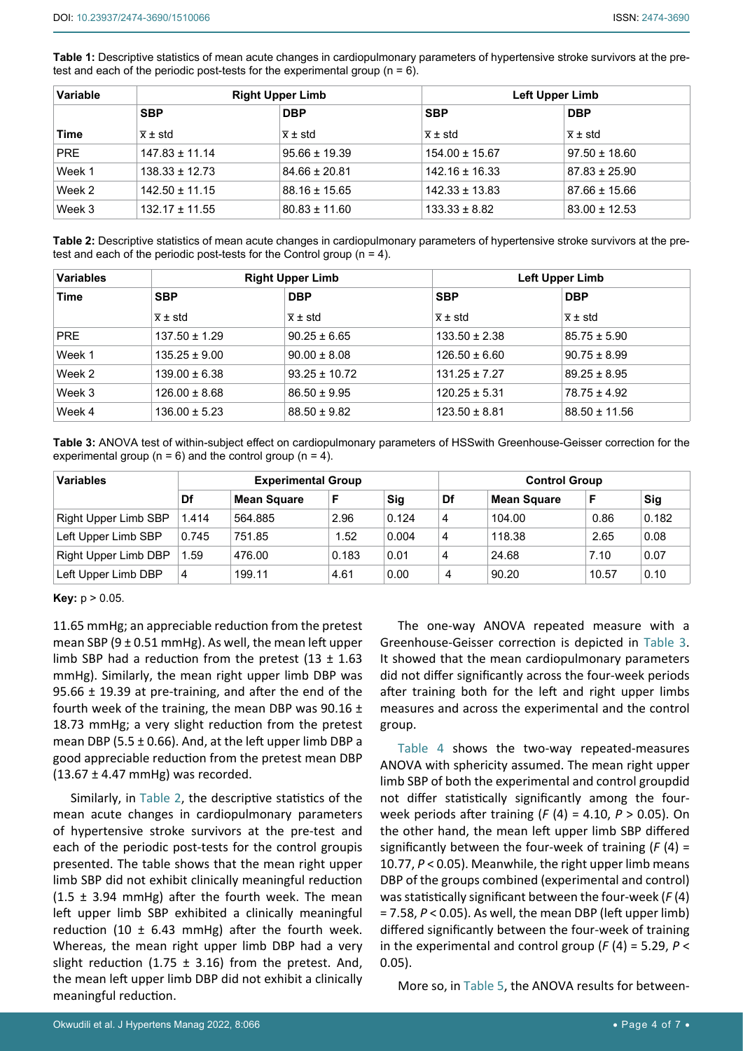<span id="page-3-0"></span>**Table 1:** Descriptive statistics of mean acute changes in cardiopulmonary parameters of hypertensive stroke survivors at the pretest and each of the periodic post-tests for the experimental group ( $n = 6$ ).

| Variable |                      | <b>Right Upper Limb</b> | Left Upper Limb      |                      |  |  |
|----------|----------------------|-------------------------|----------------------|----------------------|--|--|
|          | <b>SBP</b>           | <b>DBP</b>              | <b>SBP</b>           | <b>DBP</b>           |  |  |
| Time     | $\overline{x}$ ± std | $\overline{x}$ ± std    | $\overline{x}$ ± std | $\overline{x}$ ± std |  |  |
| PRE      | $147.83 \pm 11.14$   | $95.66 \pm 19.39$       | $154.00 \pm 15.67$   | $97.50 \pm 18.60$    |  |  |
| Week 1   | $138.33 \pm 12.73$   | $84.66 \pm 20.81$       | $142.16 \pm 16.33$   | $87.83 \pm 25.90$    |  |  |
| Week 2   | $142.50 \pm 11.15$   | $88.16 \pm 15.65$       | $142.33 \pm 13.83$   | $87.66 \pm 15.66$    |  |  |
| Week 3   | $132.17 \pm 11.55$   | $80.83 \pm 11.60$       | $133.33 \pm 8.82$    | $83.00 \pm 12.53$    |  |  |

<span id="page-3-2"></span>**Table 2:** Descriptive statistics of mean acute changes in cardiopulmonary parameters of hypertensive stroke survivors at the pretest and each of the periodic post-tests for the Control group (n = 4).

| <b>Variables</b>          |                      | <b>Right Upper Limb</b> |                      | Left Upper Limb      |  |  |  |
|---------------------------|----------------------|-------------------------|----------------------|----------------------|--|--|--|
| <b>SBP</b><br><b>Time</b> |                      | <b>DBP</b>              | <b>SBP</b>           | <b>DBP</b>           |  |  |  |
|                           | $\overline{x}$ ± std | $\overline{x}$ ± std    | $\overline{x}$ ± std | $\overline{x}$ ± std |  |  |  |
| PRE                       | $137.50 \pm 1.29$    | $90.25 \pm 6.65$        | $133.50 \pm 2.38$    | $85.75 \pm 5.90$     |  |  |  |
| Week 1                    | $135.25 \pm 9.00$    | $90.00 \pm 8.08$        | $126.50 \pm 6.60$    | $90.75 \pm 8.99$     |  |  |  |
| Week 2                    | $139.00 \pm 6.38$    | $93.25 \pm 10.72$       | $131.25 \pm 7.27$    | $89.25 \pm 8.95$     |  |  |  |
| Week 3                    | $126.00 \pm 8.68$    | $86.50 \pm 9.95$        | $120.25 \pm 5.31$    | $78.75 \pm 4.92$     |  |  |  |
| Week 4                    | $136.00 \pm 5.23$    | $88.50 \pm 9.82$        | $123.50 \pm 8.81$    | $88.50 \pm 11.56$    |  |  |  |

<span id="page-3-1"></span>**Table 3:** ANOVA test of within-subject effect on cardiopulmonary parameters of HSSwith Greenhouse-Geisser correction for the experimental group ( $n = 6$ ) and the control group ( $n = 4$ ).

| <b>Variables</b>     | <b>Experimental Group</b> |                    |       |       |    | <b>Control Group</b> |       |       |  |
|----------------------|---------------------------|--------------------|-------|-------|----|----------------------|-------|-------|--|
|                      | Df                        | <b>Mean Square</b> |       | Sig   | Df | <b>Mean Square</b>   |       | Sig   |  |
| Right Upper Limb SBP | 1.414                     | 564.885            | 2.96  | 0.124 | 4  | 104.00               | 0.86  | 0.182 |  |
| Left Upper Limb SBP  | 0.745                     | 751.85             | 1.52  | 0.004 | 4  | 118.38               | 2.65  | 0.08  |  |
| Right Upper Limb DBP | 1.59                      | 476.00             | 0.183 | 0.01  | 4  | 24.68                | 7.10  | 0.07  |  |
| Left Upper Limb DBP  | 4                         | 199.11             | 4.61  | 0.00  | 4  | 90.20                | 10.57 | 0.10  |  |

#### **Key:** p > 0.05.

11.65 mmHg; an appreciable reduction from the pretest mean SBP (9  $\pm$  0.51 mmHg). As well, the mean left upper limb SBP had a reduction from the pretest  $(13 \pm 1.63)$ mmHg). Similarly, the mean right upper limb DBP was 95.66 ± 19.39 at pre-training, and after the end of the fourth week of the training, the mean DBP was  $90.16 \pm$ 18.73 mmHg; a very slight reduction from the pretest mean DBP (5.5  $\pm$  0.66). And, at the left upper limb DBP a good appreciable reduction from the pretest mean DBP  $(13.67 \pm 4.47 \text{ mmHg})$  was recorded.

Similarly, in [Table 2](#page-3-2), the descriptive statistics of the mean acute changes in cardiopulmonary parameters of hypertensive stroke survivors at the pre-test and each of the periodic post-tests for the control groupis presented. The table shows that the mean right upper limb SBP did not exhibit clinically meaningful reduction  $(1.5 \pm 3.94 \text{ mmHg})$  after the fourth week. The mean left upper limb SBP exhibited a clinically meaningful reduction (10  $\pm$  6.43 mmHg) after the fourth week. Whereas, the mean right upper limb DBP had a very slight reduction (1.75  $\pm$  3.16) from the pretest. And, the mean left upper limb DBP did not exhibit a clinically meaningful reduction.

The one-way ANOVA repeated measure with a Greenhouse-Geisser correction is depicted in [Table 3.](#page-3-1) It showed that the mean cardiopulmonary parameters did not differ significantly across the four-week periods after training both for the left and right upper limbs measures and across the experimental and the control group.

[Table 4](#page-4-0) shows the two-way repeated-measures ANOVA with sphericity assumed. The mean right upper limb SBP of both the experimental and control groupdid not differ statistically significantly among the fourweek periods after training (*F* (4) = 4.10, *P* > 0.05). On the other hand, the mean left upper limb SBP differed significantly between the four-week of training (*F* (4) = 10.77, *P* < 0.05). Meanwhile, the right upper limb means DBP of the groups combined (experimental and control) was statistically significant between the four-week (*F* (4) = 7.58, *P* < 0.05). As well, the mean DBP (left upper limb) differed significantly between the four-week of training in the experimental and control group (*F* (4) = 5.29, *P* < 0.05).

More so, in [Table 5](#page-4-1), the ANOVA results for between-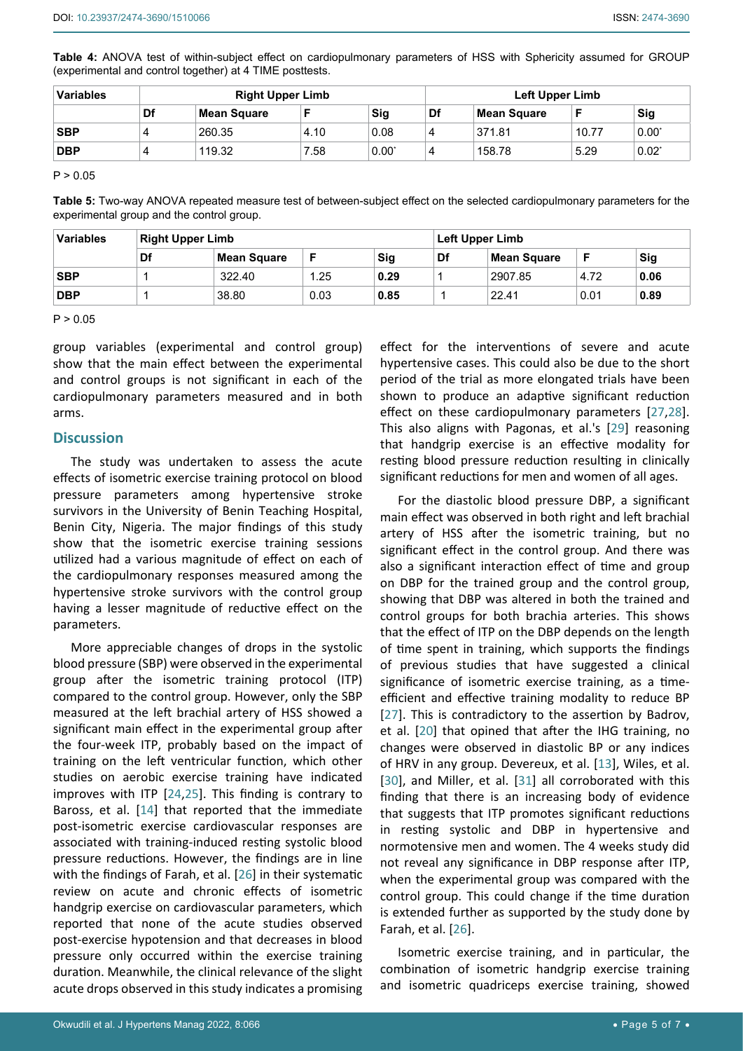<span id="page-4-0"></span>**Table 4:** ANOVA test of within-subject effect on cardiopulmonary parameters of HSS with Sphericity assumed for GROUP (experimental and control together) at 4 TIME posttests.

| <b>Variables</b> | <b>Right Upper Limb</b> |             |      |       |    | <b>Left Upper Limb</b> |       |            |  |
|------------------|-------------------------|-------------|------|-------|----|------------------------|-------|------------|--|
|                  | Df                      | Mean Square |      | Sig   | Df | <b>Mean Square</b>     |       | <b>Sig</b> |  |
| <b>SBP</b>       | $\Delta$                | 260.35      | 4.10 | 0.08  |    | 371.81                 | 10.77 | 0.00"      |  |
| <b>DBP</b>       | $\Delta$                | 119.32      | 7.58 | 0.00" |    | 158.78                 | 5.29  | $0.02^*$   |  |

 $P > 0.05$ 

<span id="page-4-1"></span>**Table 5:** Two-way ANOVA repeated measure test of between-subject effect on the selected cardiopulmonary parameters for the experimental group and the control group.

| <b>Variables</b> | <b>Right Upper Limb</b> |             |      |      |    | Left Upper Limb    |      |            |  |
|------------------|-------------------------|-------------|------|------|----|--------------------|------|------------|--|
|                  | Df                      | Mean Square | F    | Sig  | Df | <b>Mean Square</b> | F    | <b>Sig</b> |  |
| <b>SBP</b>       |                         | 322.40      | . 25 | 0.29 |    | 2907.85            | 4.72 | 0.06       |  |
| <b>DBP</b>       |                         | 38.80       | 0.03 | 0.85 |    | 22.41              | 0.01 | 0.89       |  |

 $P > 0.05$ 

group variables (experimental and control group) show that the main effect between the experimental and control groups is not significant in each of the cardiopulmonary parameters measured and in both arms.

#### **Discussion**

The study was undertaken to assess the acute effects of isometric exercise training protocol on blood pressure parameters among hypertensive stroke survivors in the University of Benin Teaching Hospital, Benin City, Nigeria. The major findings of this study show that the isometric exercise training sessions utilized had a various magnitude of effect on each of the cardiopulmonary responses measured among the hypertensive stroke survivors with the control group having a lesser magnitude of reductive effect on the parameters.

More appreciable changes of drops in the systolic blood pressure (SBP) were observed in the experimental group after the isometric training protocol (ITP) compared to the control group. However, only the SBP measured at the left brachial artery of HSS showed a significant main effect in the experimental group after the four-week ITP, probably based on the impact of training on the left ventricular function, which other studies on aerobic exercise training have indicated improves with ITP [\[24](#page-6-7),[25](#page-6-8)]. This finding is contrary to Baross, et al. [\[14](#page-5-14)] that reported that the immediate post-isometric exercise cardiovascular responses are associated with training-induced resting systolic blood pressure reductions. However, the findings are in line with the findings of Farah, et al. [\[26](#page-6-9)] in their systematic review on acute and chronic effects of isometric handgrip exercise on cardiovascular parameters, which reported that none of the acute studies observed post-exercise hypotension and that decreases in blood pressure only occurred within the exercise training duration. Meanwhile, the clinical relevance of the slight acute drops observed in this study indicates a promising

effect for the interventions of severe and acute hypertensive cases. This could also be due to the short period of the trial as more elongated trials have been shown to produce an adaptive significant reduction effect on these cardiopulmonary parameters [[27](#page-6-10)[,28](#page-6-11)]. This also aligns with Pagonas, et al.'s [\[29\]](#page-6-12) reasoning that handgrip exercise is an effective modality for resting blood pressure reduction resulting in clinically significant reductions for men and women of all ages.

For the diastolic blood pressure DBP, a significant main effect was observed in both right and left brachial artery of HSS after the isometric training, but no significant effect in the control group. And there was also a significant interaction effect of time and group on DBP for the trained group and the control group, showing that DBP was altered in both the trained and control groups for both brachia arteries. This shows that the effect of ITP on the DBP depends on the length of time spent in training, which supports the findings of previous studies that have suggested a clinical significance of isometric exercise training, as a timeefficient and effective training modality to reduce BP [[27](#page-6-10)]. This is contradictory to the assertion by Badrov, et al. [[20](#page-6-3)] that opined that after the IHG training, no changes were observed in diastolic BP or any indices of HRV in any group. Devereux, et al. [\[13](#page-5-11)], Wiles, et al. [[30](#page-6-13)], and Miller, et al. [\[31\]](#page-6-14) all corroborated with this finding that there is an increasing body of evidence that suggests that ITP promotes significant reductions in resting systolic and DBP in hypertensive and normotensive men and women. The 4 weeks study did not reveal any significance in DBP response after ITP, when the experimental group was compared with the control group. This could change if the time duration is extended further as supported by the study done by Farah, et al. [\[26](#page-6-9)].

Isometric exercise training, and in particular, the combination of isometric handgrip exercise training and isometric quadriceps exercise training, showed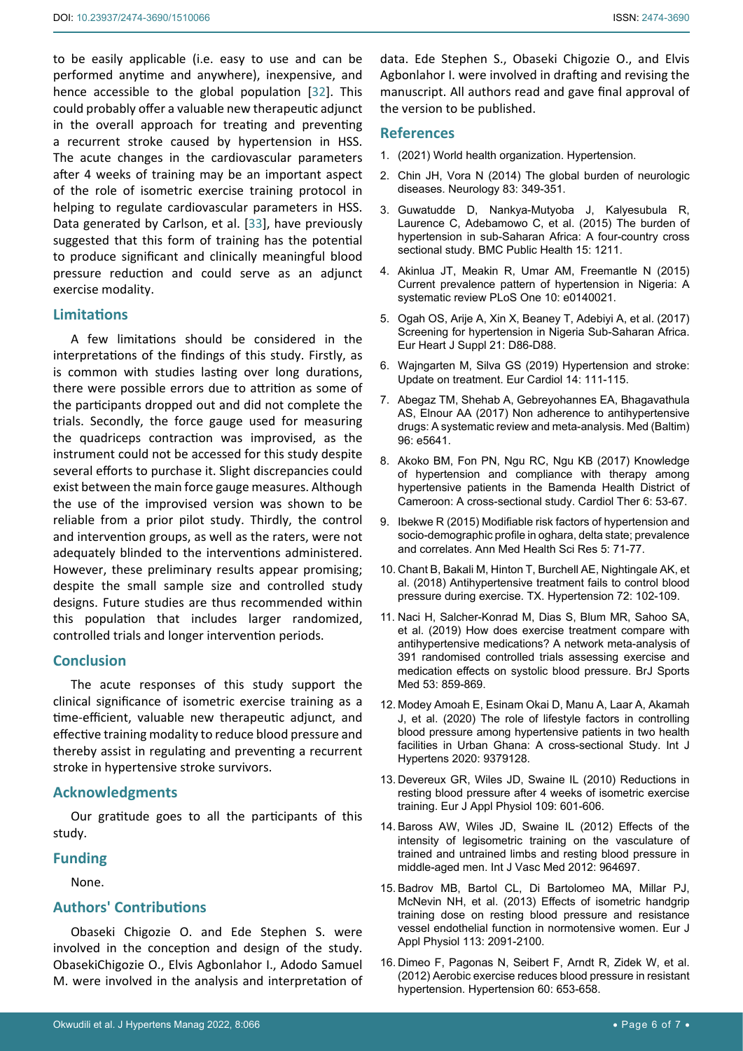to be easily applicable (i.e. easy to use and can be performed anytime and anywhere), inexpensive, and hence accessible to the global population [[32](#page-6-15)]. This could probably offer a valuable new therapeutic adjunct in the overall approach for treating and preventing a recurrent stroke caused by hypertension in HSS. The acute changes in the cardiovascular parameters after 4 weeks of training may be an important aspect of the role of isometric exercise training protocol in helping to regulate cardiovascular parameters in HSS. Data generated by Carlson, et al. [\[33](#page-6-16)], have previously suggested that this form of training has the potential to produce significant and clinically meaningful blood pressure reduction and could serve as an adjunct exercise modality.

## **Limitations**

A few limitations should be considered in the interpretations of the findings of this study. Firstly, as is common with studies lasting over long durations, there were possible errors due to attrition as some of the participants dropped out and did not complete the trials. Secondly, the force gauge used for measuring the quadriceps contraction was improvised, as the instrument could not be accessed for this study despite several efforts to purchase it. Slight discrepancies could exist between the main force gauge measures. Although the use of the improvised version was shown to be reliable from a prior pilot study. Thirdly, the control and intervention groups, as well as the raters, were not adequately blinded to the interventions administered. However, these preliminary results appear promising; despite the small sample size and controlled study designs. Future studies are thus recommended within this population that includes larger randomized, controlled trials and longer intervention periods.

#### **Conclusion**

The acute responses of this study support the clinical significance of isometric exercise training as a time-efficient, valuable new therapeutic adjunct, and effective training modality to reduce blood pressure and thereby assist in regulating and preventing a recurrent stroke in hypertensive stroke survivors.

## **Acknowledgments**

Our gratitude goes to all the participants of this study.

#### **Funding**

None.

# **Authors' Contributions**

Obaseki Chigozie O. and Ede Stephen S. were involved in the conception and design of the study. ObasekiChigozie O., Elvis Agbonlahor I., Adodo Samuel M. were involved in the analysis and interpretation of

data. Ede Stephen S., Obaseki Chigozie O., and Elvis Agbonlahor I. were involved in drafting and revising the manuscript. All authors read and gave final approval of the version to be published.

# **References**

- <span id="page-5-0"></span>1. [\(2021\) World health organization. Hypertension.](https://www.who.int/news-room/fact-sheets/detail/hypertension)
- <span id="page-5-1"></span>2. [Chin JH, Vora N \(2014\) The global burden of neurologic](https://www.ncbi.nlm.nih.gov/labs/pmc/articles/PMC4115599/)  [diseases. Neurology 83: 349-351.](https://www.ncbi.nlm.nih.gov/labs/pmc/articles/PMC4115599/)
- <span id="page-5-2"></span>3. [Guwatudde D, Nankya-Mutyoba J, Kalyesubula R,](https://pubmed.ncbi.nlm.nih.gov/26637309/)  [Laurence C, Adebamowo C, et al. \(2015\) The burden of](https://pubmed.ncbi.nlm.nih.gov/26637309/)  [hypertension in sub-Saharan Africa: A four-country cross](https://pubmed.ncbi.nlm.nih.gov/26637309/)  [sectional study. BMC Public Health 15: 1211.](https://pubmed.ncbi.nlm.nih.gov/26637309/)
- <span id="page-5-3"></span>4. [Akinlua JT, Meakin R, Umar AM, Freemantle N \(2015\)](https://pubmed.ncbi.nlm.nih.gov/26461923/)  [Current prevalence pattern of hypertension in Nigeria: A](https://pubmed.ncbi.nlm.nih.gov/26461923/)  [systematic review PLoS One 10: e0140021.](https://pubmed.ncbi.nlm.nih.gov/26461923/)
- <span id="page-5-4"></span>5. [Ogah OS, Arije A, Xin X, Beaney T, Adebiyi A, et al. \(2017\)](https://pubmed.ncbi.nlm.nih.gov/31043888/)  [Screening for hypertension in Nigeria Sub-Saharan Africa.](https://pubmed.ncbi.nlm.nih.gov/31043888/)  [Eur Heart J Suppl 21: D86-D88.](https://pubmed.ncbi.nlm.nih.gov/31043888/)
- <span id="page-5-5"></span>6. [Wajngarten M, Silva GS \(2019\) Hypertension and stroke:](https://www.ncbi.nlm.nih.gov/labs/pmc/articles/PMC6659031/)  [Update on treatment. Eur Cardiol 14: 111-115.](https://www.ncbi.nlm.nih.gov/labs/pmc/articles/PMC6659031/)
- <span id="page-5-6"></span>7. [Abegaz TM, Shehab A, Gebreyohannes EA, Bhagavathula](https://pubmed.ncbi.nlm.nih.gov/28121920/)  [AS, Elnour AA \(2017\) Non adherence to antihypertensive](https://pubmed.ncbi.nlm.nih.gov/28121920/)  [drugs: A systematic review and meta-analysis. Med \(Baltim\)](https://pubmed.ncbi.nlm.nih.gov/28121920/)  [96: e5641.](https://pubmed.ncbi.nlm.nih.gov/28121920/)
- <span id="page-5-7"></span>8. [Akoko BM, Fon PN, Ngu RC, Ngu KB \(2017\) Knowledge](https://www.ncbi.nlm.nih.gov/labs/pmc/articles/PMC5446812/)  [of hypertension and compliance with therapy among](https://www.ncbi.nlm.nih.gov/labs/pmc/articles/PMC5446812/)  [hypertensive patients in the Bamenda Health District of](https://www.ncbi.nlm.nih.gov/labs/pmc/articles/PMC5446812/)  [Cameroon: A cross-sectional study. Cardiol Ther 6: 53-67.](https://www.ncbi.nlm.nih.gov/labs/pmc/articles/PMC5446812/)
- <span id="page-5-8"></span>9. [Ibekwe R \(2015\) Modifiable risk factors of hypertension and](https://pubmed.ncbi.nlm.nih.gov/25745581/)  [socio-demographic profile in oghara, delta state; prevalence](https://pubmed.ncbi.nlm.nih.gov/25745581/)  [and correlates. Ann Med Health Sci Res 5: 71-77.](https://pubmed.ncbi.nlm.nih.gov/25745581/)
- <span id="page-5-9"></span>10. [Chant B, Bakali M, Hinton T, Burchell AE, Nightingale AK, et](https://pubmed.ncbi.nlm.nih.gov/29895531/)  [al. \(2018\) Antihypertensive treatment fails to control blood](https://pubmed.ncbi.nlm.nih.gov/29895531/)  [pressure during exercise. TX. Hypertension 72: 102-109.](https://pubmed.ncbi.nlm.nih.gov/29895531/)
- 11. [Naci H, Salcher-Konrad M, Dias S, Blum MR, Sahoo SA,](https://pubmed.ncbi.nlm.nih.gov/30563873/)  [et al. \(2019\) How does exercise treatment compare with](https://pubmed.ncbi.nlm.nih.gov/30563873/)  [antihypertensive medications? A network meta-analysis of](https://pubmed.ncbi.nlm.nih.gov/30563873/)  [391 randomised controlled trials assessing exercise and](https://pubmed.ncbi.nlm.nih.gov/30563873/)  [medication effects on systolic blood pressure. BrJ Sports](https://pubmed.ncbi.nlm.nih.gov/30563873/)  [Med 53: 859-869.](https://pubmed.ncbi.nlm.nih.gov/30563873/)
- <span id="page-5-10"></span>12. [Modey Amoah E, Esinam Okai D, Manu A, Laar A, Akamah](https://pubmed.ncbi.nlm.nih.gov/33005451/)  [J, et al. \(2020\) The role of lifestyle factors in controlling](https://pubmed.ncbi.nlm.nih.gov/33005451/)  [blood pressure among hypertensive patients in two health](https://pubmed.ncbi.nlm.nih.gov/33005451/)  [facilities in Urban Ghana: A cross-sectional Study. Int J](https://pubmed.ncbi.nlm.nih.gov/33005451/)  [Hypertens 2020: 9379128.](https://pubmed.ncbi.nlm.nih.gov/33005451/)
- <span id="page-5-11"></span>13. [Devereux GR, Wiles JD, Swaine IL \(2010\) Reductions in](https://pubmed.ncbi.nlm.nih.gov/20186425/)  [resting blood pressure after 4](https://pubmed.ncbi.nlm.nih.gov/20186425/) weeks of isometric exercise [training. Eur J Appl Physiol 109: 601-606.](https://pubmed.ncbi.nlm.nih.gov/20186425/)
- <span id="page-5-14"></span>14. [Baross AW, Wiles JD, Swaine IL \(2012\) Effects of the](https://pubmed.ncbi.nlm.nih.gov/22991668/)  [intensity of legisometric training on the vasculature of](https://pubmed.ncbi.nlm.nih.gov/22991668/)  [trained and untrained limbs and resting blood pressure in](https://pubmed.ncbi.nlm.nih.gov/22991668/)  [middle-aged men. Int J Vasc Med 2012: 964697.](https://pubmed.ncbi.nlm.nih.gov/22991668/)
- <span id="page-5-12"></span>15. [Badrov MB, Bartol CL, Di Bartolomeo MA, Millar PJ,](https://pubmed.ncbi.nlm.nih.gov/23588257/)  [McNevin NH, et al. \(2013\) Effects of isometric handgrip](https://pubmed.ncbi.nlm.nih.gov/23588257/)  [training dose on resting blood pressure and resistance](https://pubmed.ncbi.nlm.nih.gov/23588257/)  [vessel endothelial function in normotensive women. Eur J](https://pubmed.ncbi.nlm.nih.gov/23588257/)  [Appl Physiol 113: 2091-2100.](https://pubmed.ncbi.nlm.nih.gov/23588257/)
- <span id="page-5-13"></span>16. [Dimeo F, Pagonas N, Seibert F, Arndt R, Zidek W, et al.](https://pubmed.ncbi.nlm.nih.gov/22802220/)  [\(2012\) Aerobic exercise reduces blood pressure in resistant](https://pubmed.ncbi.nlm.nih.gov/22802220/)  [hypertension. Hypertension 60: 653-658.](https://pubmed.ncbi.nlm.nih.gov/22802220/)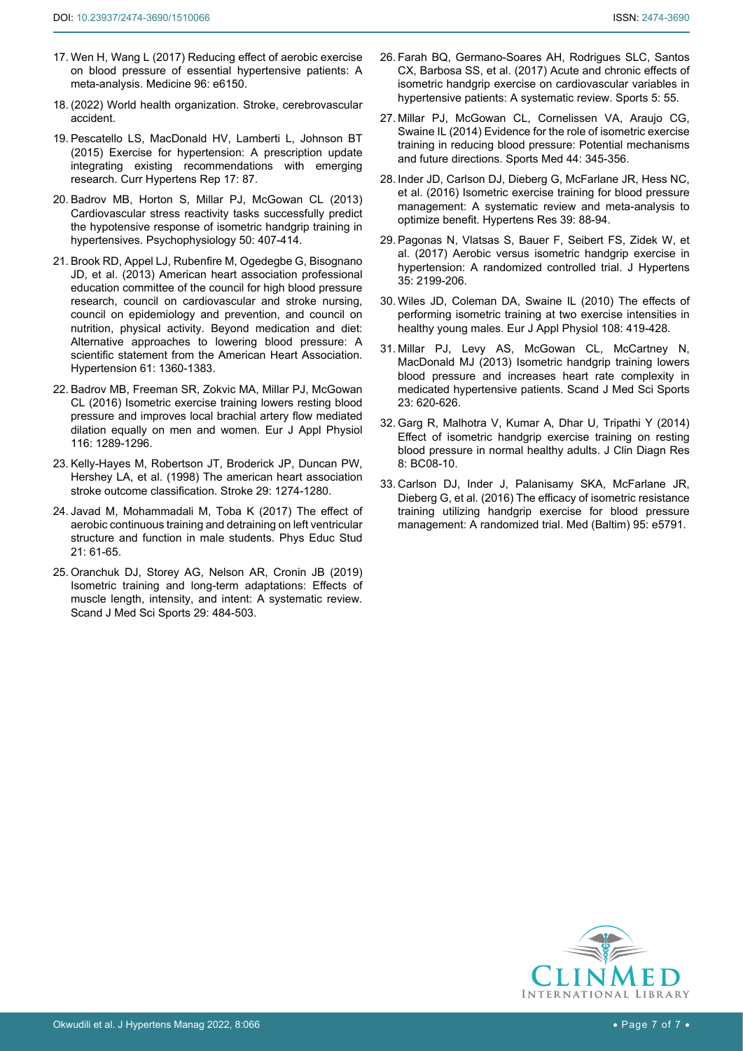- <span id="page-6-0"></span>17. [Wen H, Wang L \(2017\) Reducing effect of aerobic exercise](https://pubmed.ncbi.nlm.nih.gov/28296729/)  [on blood pressure of essential hypertensive patients: A](https://pubmed.ncbi.nlm.nih.gov/28296729/)  [meta-analysis. Medicine 96: e6150.](https://pubmed.ncbi.nlm.nih.gov/28296729/)
- <span id="page-6-1"></span>18. [\(2022\) World health organization. Stroke, cerebrovascular](http://www.emro.who.int/health-topics/stroke-cerebrovascular-accident/index.html)  [accident.](http://www.emro.who.int/health-topics/stroke-cerebrovascular-accident/index.html)
- <span id="page-6-2"></span>19. [Pescatello LS, MacDonald HV, Lamberti L, Johnson BT](https://pubmed.ncbi.nlm.nih.gov/26423529/)  [\(2015\) Exercise for hypertension: A prescription update](https://pubmed.ncbi.nlm.nih.gov/26423529/)  [integrating existing recommendations with emerging](https://pubmed.ncbi.nlm.nih.gov/26423529/)  [research. Curr Hypertens Rep 17: 87.](https://pubmed.ncbi.nlm.nih.gov/26423529/)
- <span id="page-6-3"></span>20. [Badrov MB, Horton S, Millar PJ, McGowan CL \(2013\)](https://pubmed.ncbi.nlm.nih.gov/23418955/)  [Cardiovascular stress reactivity tasks successfully predict](https://pubmed.ncbi.nlm.nih.gov/23418955/)  [the hypotensive response of isometric handgrip training in](https://pubmed.ncbi.nlm.nih.gov/23418955/)  [hypertensives. Psychophysiology 50: 407-414.](https://pubmed.ncbi.nlm.nih.gov/23418955/)
- <span id="page-6-4"></span>21. Brook RD, Appel LJ, Rubenfire M, Ogedegbe G, Bisognano JD, et al. (2013) American heart association professional education committee of the council for high blood pressure research, council on cardiovascular and stroke nursing, council on epidemiology and prevention, and council on nutrition, physical activity. Beyond medication and diet: Alternative approaches to lowering blood pressure: A scientific statement from the American Heart Association. Hypertension 61: 1360-1383.
- <span id="page-6-5"></span>22. [Badrov MB, Freeman SR, Zokvic MA, Millar PJ, McGowan](https://pubmed.ncbi.nlm.nih.gov/27137950/)  [CL \(2016\) Isometric exercise training lowers resting blood](https://pubmed.ncbi.nlm.nih.gov/27137950/)  [pressure and improves local brachial artery flow mediated](https://pubmed.ncbi.nlm.nih.gov/27137950/)  [dilation equally on men and women. Eur J Appl Physiol](https://pubmed.ncbi.nlm.nih.gov/27137950/)  [116: 1289-1296.](https://pubmed.ncbi.nlm.nih.gov/27137950/)
- <span id="page-6-6"></span>23. [Kelly-Hayes M, Robertson JT, Broderick JP, Duncan PW,](https://pubmed.ncbi.nlm.nih.gov/9626308/)  [Hershey LA, et al. \(1998\) The american heart association](https://pubmed.ncbi.nlm.nih.gov/9626308/)  [stroke outcome classification. Stroke 29: 1274-1280.](https://pubmed.ncbi.nlm.nih.gov/9626308/)
- <span id="page-6-7"></span>24. [Javad M, Mohammadali M, Toba K \(2017\) The effect of](http://sportfiction.ru/articles/the-effect-of-aerobic-continuous-training-and-detraining-on-left-ventricular-structure-and-function-/)  [aerobic continuous training and detraining on left ventricular](http://sportfiction.ru/articles/the-effect-of-aerobic-continuous-training-and-detraining-on-left-ventricular-structure-and-function-/)  [structure and function in male students. Phys Educ Stud](http://sportfiction.ru/articles/the-effect-of-aerobic-continuous-training-and-detraining-on-left-ventricular-structure-and-function-/)  [21: 61-65.](http://sportfiction.ru/articles/the-effect-of-aerobic-continuous-training-and-detraining-on-left-ventricular-structure-and-function-/)
- <span id="page-6-8"></span>25. [Oranchuk DJ, Storey AG, Nelson AR, Cronin JB \(2019\)](https://pubmed.ncbi.nlm.nih.gov/30580468/)  [Isometric training and long-term adaptations: Effects of](https://pubmed.ncbi.nlm.nih.gov/30580468/)  [muscle length, intensity, and intent: A systematic review.](https://pubmed.ncbi.nlm.nih.gov/30580468/)  [Scand J Med Sci Sports 29: 484-503.](https://pubmed.ncbi.nlm.nih.gov/30580468/)
- <span id="page-6-9"></span>26. [Farah BQ, Germano-Soares AH, Rodrigues SLC, Santos](https://pubmed.ncbi.nlm.nih.gov/29910415/)  [CX, Barbosa SS, et al. \(2017\) Acute and chronic effects of](https://pubmed.ncbi.nlm.nih.gov/29910415/)  [isometric handgrip exercise on cardiovascular variables in](https://pubmed.ncbi.nlm.nih.gov/29910415/)  [hypertensive patients: A systematic review. Sports 5: 55.](https://pubmed.ncbi.nlm.nih.gov/29910415/)
- <span id="page-6-10"></span>27. [Millar PJ, McGowan CL, Cornelissen VA, Araujo CG,](https://pubmed.ncbi.nlm.nih.gov/24174307/)  [Swaine IL \(2014\) Evidence for the role of isometric exercise](https://pubmed.ncbi.nlm.nih.gov/24174307/)  [training in reducing blood pressure: Potential mechanisms](https://pubmed.ncbi.nlm.nih.gov/24174307/)  [and future directions. Sports Med 44: 345-356.](https://pubmed.ncbi.nlm.nih.gov/24174307/)
- <span id="page-6-11"></span>28. [Inder JD, Carlson DJ, Dieberg G, McFarlane JR, Hess NC,](https://pubmed.ncbi.nlm.nih.gov/26467494/)  [et al. \(2016\) Isometric exercise training for blood pressure](https://pubmed.ncbi.nlm.nih.gov/26467494/)  [management: A systematic review and meta-analysis to](https://pubmed.ncbi.nlm.nih.gov/26467494/)  [optimize benefit. Hypertens Res 39: 88-94.](https://pubmed.ncbi.nlm.nih.gov/26467494/)
- <span id="page-6-12"></span>29. [Pagonas N, Vlatsas S, Bauer F, Seibert FS, Zidek W, et](https://pubmed.ncbi.nlm.nih.gov/28622156/)  [al. \(2017\) Aerobic versus isometric handgrip exercise in](https://pubmed.ncbi.nlm.nih.gov/28622156/)  [hypertension: A randomized controlled trial. J Hypertens](https://pubmed.ncbi.nlm.nih.gov/28622156/)  [35: 2199-206.](https://pubmed.ncbi.nlm.nih.gov/28622156/)
- <span id="page-6-13"></span>30. [Wiles JD, Coleman DA, Swaine IL \(2010\) The effects of](https://pubmed.ncbi.nlm.nih.gov/19280213/)  [performing isometric training at two exercise intensities in](https://pubmed.ncbi.nlm.nih.gov/19280213/)  [healthy young males. Eur J Appl Physiol 108: 419-428.](https://pubmed.ncbi.nlm.nih.gov/19280213/)
- <span id="page-6-14"></span>31. [Millar PJ, Levy AS, McGowan CL, McCartney N,](https://pubmed.ncbi.nlm.nih.gov/22260503/)  [MacDonald MJ \(2013\) Isometric handgrip training lowers](https://pubmed.ncbi.nlm.nih.gov/22260503/)  [blood pressure and increases heart rate complexity in](https://pubmed.ncbi.nlm.nih.gov/22260503/)  [medicated hypertensive patients. Scand J Med Sci Sports](https://pubmed.ncbi.nlm.nih.gov/22260503/)  [23: 620-626.](https://pubmed.ncbi.nlm.nih.gov/22260503/)
- <span id="page-6-15"></span>32. [Garg R, Malhotra V, Kumar A, Dhar U, Tripathi Y \(2014\)](https://pubmed.ncbi.nlm.nih.gov/25386422/)  [Effect of isometric handgrip exercise training on resting](https://pubmed.ncbi.nlm.nih.gov/25386422/)  [blood pressure in normal healthy adults. J Clin Diagn Res](https://pubmed.ncbi.nlm.nih.gov/25386422/)  [8: BC08-10.](https://pubmed.ncbi.nlm.nih.gov/25386422/)
- <span id="page-6-16"></span>33. [Carlson DJ, Inder J, Palanisamy SKA, McFarlane JR,](https://pubmed.ncbi.nlm.nih.gov/28033302/)  [Dieberg G, et al. \(2016\) The efficacy of isometric resistance](https://pubmed.ncbi.nlm.nih.gov/28033302/)  [training utilizing handgrip exercise for blood pressure](https://pubmed.ncbi.nlm.nih.gov/28033302/)  [management: A randomized trial. Med \(Baltim\) 95: e5791.](https://pubmed.ncbi.nlm.nih.gov/28033302/)